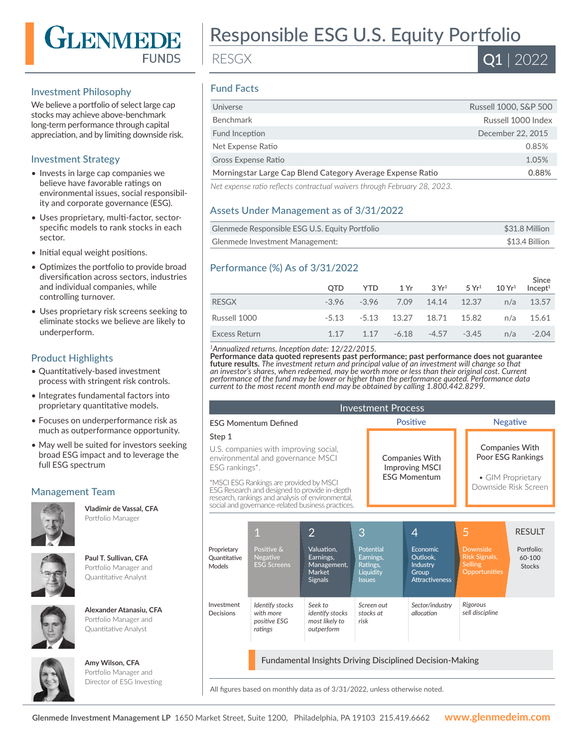

#### Investment Philosophy

We believe a portfolio of select large cap stocks may achieve above-benchmark long-term performance through capital appreciation, and by limiting downside risk.

## Investment Strategy

- Invests in large cap companies we believe have favorable ratings on environmental issues, social responsibility and corporate governance (ESG).
- Uses proprietary, multi-factor, sectorspecific models to rank stocks in each sector.
- Initial equal weight positions.
- Optimizes the portfolio to provide broad diversification across sectors, industries and individual companies, while controlling turnover.
- Uses proprietary risk screens seeking to eliminate stocks we believe are likely to underperform.

# Product Highlights

- Quantitatively-based investment process with stringent risk controls.
- Integrates fundamental factors into proprietary quantitative models.
- Focuses on underperformance risk as much as outperformance opportunity.
- May well be suited for investors seeking broad ESG impact and to leverage the full ESG spectrum

# Management Team



**Vladimir de Vassal, CFA**  Portfolio Manager



#### **Paul T. Sullivan, CFA**  Portfolio Manager and Quantitative Analyst



#### **Alexander Atanasiu, CFA**  Portfolio Manager and Quantitative Analyst



**Amy Wilson, CFA**  Portfolio Manager and

Director of ESG Investing



RESGX

# Q1 | 2022

# Fund Facts

| Universe                                                   | Russell 1000, S&P 500 |
|------------------------------------------------------------|-----------------------|
| Benchmark                                                  | Russell 1000 Index    |
| Fund Inception                                             | December 22, 2015     |
| Net Expense Ratio                                          | 0.85%                 |
| <b>Gross Expense Ratio</b>                                 | 1.05%                 |
| Morningstar Large Cap Blend Category Average Expense Ratio | 0.88%                 |
|                                                            |                       |

*Net expense ratio reflects contractual waivers through February 28, 2023.*

# Assets Under Management as of 3/31/2022

| Glenmede Responsible ESG U.S. Equity Portfolio | \$31.8 Million |
|------------------------------------------------|----------------|
| Glenmede Investment Management:                | \$13.4 Billion |

# Performance (%) As of 3/31/2022

|               | <b>OTD</b> | <b>YTD</b> |                                         | $1\,\mathrm{Yr}$ $3\,\mathrm{Yr}^1$ $5\,\mathrm{Yr}^1$ $10\,\mathrm{Yr}^1$ |     | Since<br>Incept <sup>1</sup> |
|---------------|------------|------------|-----------------------------------------|----------------------------------------------------------------------------|-----|------------------------------|
| RESGX         | $-3.96$    |            | -3.96 7.09 14.14 12.37                  |                                                                            |     | $n/a$ 13.57                  |
| Russell 1000  |            |            | $-5.13$ $-5.13$ $13.27$ $18.71$ $15.82$ |                                                                            |     | $n/a$ 15.61                  |
| Excess Return | 1 1 7      |            | $1.17 - 6.18$                           | $-4.57 -3.45$                                                              | n/a | $-2.04$                      |

*<sup>1</sup>Annualized returns. Inception date: 12/22/2015.*

**Performance data quoted represents past performance; past performance does not guarantee future results.** *The investment return and principal value of an investment will change so that an investor's shares, when redeemed, may be worth more or less than their original cost. Current performance of the fund may be lower or higher than the performance quoted. Performance data current to the most recent month end may be obtained by calling 1.800.442.8299.*

| <b>Investment Process</b>                                                                    |                                                                                                                                                                                                    |                                                                                             |                                                |                                                 |                                                                                       |                                            |                                                                                   |                                       |
|----------------------------------------------------------------------------------------------|----------------------------------------------------------------------------------------------------------------------------------------------------------------------------------------------------|---------------------------------------------------------------------------------------------|------------------------------------------------|-------------------------------------------------|---------------------------------------------------------------------------------------|--------------------------------------------|-----------------------------------------------------------------------------------|---------------------------------------|
| <b>FSG Momentum Defined</b>                                                                  |                                                                                                                                                                                                    |                                                                                             | <b>Positive</b>                                |                                                 |                                                                                       | <b>Negative</b>                            |                                                                                   |                                       |
| Step 1                                                                                       |                                                                                                                                                                                                    |                                                                                             |                                                |                                                 |                                                                                       |                                            |                                                                                   |                                       |
| U.S. companies with improving social,<br>environmental and governance MSCI<br>ESG rankings*. |                                                                                                                                                                                                    |                                                                                             | <b>Companies With</b><br><b>Improving MSCI</b> |                                                 |                                                                                       | <b>Companies With</b><br>Poor ESG Rankings |                                                                                   |                                       |
|                                                                                              | *MSCI ESG Rankings are provided by MSCI<br>ESG Research and designed to provide in-depth<br>research, rankings and analysis of environmental,<br>social and governance-related business practices. |                                                                                             | <b>FSG Momentum</b>                            |                                                 |                                                                                       |                                            | • GIM Proprietary<br>Downside Risk Screen                                         |                                       |
|                                                                                              |                                                                                                                                                                                                    |                                                                                             |                                                |                                                 |                                                                                       | 5                                          |                                                                                   | <b>RESULT</b>                         |
| Proprietary<br><b>Quantitative</b><br>Models                                                 | 1<br>Positive &<br><b>Negative</b><br><b>ESG Screens</b>                                                                                                                                           | $\overline{2}$<br>Valuation.<br>Earnings,<br>Management,<br><b>Market</b><br><b>Signals</b> | 3<br><b>Issues</b>                             | Potential<br>Earnings,<br>Ratings,<br>Liquidity | 4<br><b>Economic</b><br>Outlook.<br><b>Industry</b><br>Group<br><b>Attractiveness</b> |                                            | <b>Downside</b><br><b>Risk Signals,</b><br><b>Selling</b><br><b>Opportunities</b> | Portfolio:<br>60-100<br><b>Stocks</b> |
| Investment<br>Decisions                                                                      | Identify stocks<br>with more<br>positive ESG<br>ratings                                                                                                                                            | Seek to<br>identify stocks<br>most likely to<br>outperform                                  | risk                                           | Screen out<br>stocks at                         | Sector/industry<br>allocation                                                         |                                            | <b>Rigorous</b><br>sell discipline                                                |                                       |
| <b>Fundamental Insights Driving Disciplined Decision-Making</b>                              |                                                                                                                                                                                                    |                                                                                             |                                                |                                                 |                                                                                       |                                            |                                                                                   |                                       |

All figures based on monthly data as of 3/31/2022, unless otherwise noted.